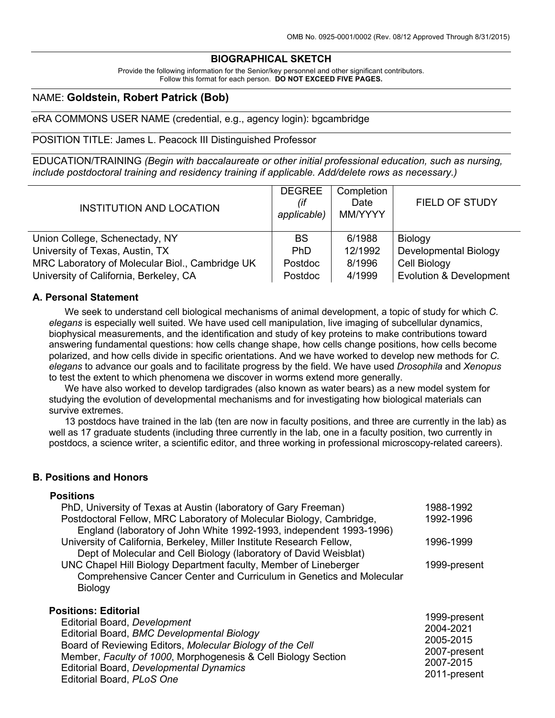# **BIOGRAPHICAL SKETCH**

Provide the following information for the Senior/key personnel and other significant contributors. Follow this format for each person. **DO NOT EXCEED FIVE PAGES.**

### NAME: **Goldstein, Robert Patrick (Bob)**

### eRA COMMONS USER NAME (credential, e.g., agency login): bgcambridge

### POSITION TITLE: James L. Peacock III Distinguished Professor

EDUCATION/TRAINING *(Begin with baccalaureate or other initial professional education, such as nursing, include postdoctoral training and residency training if applicable. Add/delete rows as necessary.)*

| <b>INSTITUTION AND LOCATION</b>                 | <b>DEGREE</b><br>(if<br>applicable) | Completion<br>Date<br>MM/YYYY | <b>FIELD OF STUDY</b>   |
|-------------------------------------------------|-------------------------------------|-------------------------------|-------------------------|
| Union College, Schenectady, NY                  | BS.                                 | 6/1988                        | Biology                 |
| University of Texas, Austin, TX                 | PhD.                                | 12/1992                       | Developmental Biology   |
| MRC Laboratory of Molecular Biol., Cambridge UK | Postdoc                             | 8/1996                        | Cell Biology            |
| University of California, Berkeley, CA          | Postdoc                             | 4/1999                        | Evolution & Development |

### **A. Personal Statement**

 We seek to understand cell biological mechanisms of animal development, a topic of study for which *C. elegans* is especially well suited. We have used cell manipulation, live imaging of subcellular dynamics, biophysical measurements, and the identification and study of key proteins to make contributions toward answering fundamental questions: how cells change shape, how cells change positions, how cells become polarized, and how cells divide in specific orientations. And we have worked to develop new methods for *C. elegans* to advance our goals and to facilitate progress by the field. We have used *Drosophila* and *Xenopus* to test the extent to which phenomena we discover in worms extend more generally.

 We have also worked to develop tardigrades (also known as water bears) as a new model system for studying the evolution of developmental mechanisms and for investigating how biological materials can survive extremes.

 13 postdocs have trained in the lab (ten are now in faculty positions, and three are currently in the lab) as well as 17 graduate students (including three currently in the lab, one in a faculty position, two currently in postdocs, a science writer, a scientific editor, and three working in professional microscopy-related careers).

#### **B. Positions and Honors**

#### **Positions**

| PhD, University of Texas at Austin (laboratory of Gary Freeman)       | 1988-1992    |
|-----------------------------------------------------------------------|--------------|
| Postdoctoral Fellow, MRC Laboratory of Molecular Biology, Cambridge,  | 1992-1996    |
| England (laboratory of John White 1992-1993, independent 1993-1996)   |              |
| University of California, Berkeley, Miller Institute Research Fellow, | 1996-1999    |
| Dept of Molecular and Cell Biology (laboratory of David Weisblat)     |              |
| UNC Chapel Hill Biology Department faculty, Member of Lineberger      | 1999-present |
| Comprehensive Cancer Center and Curriculum in Genetics and Molecular  |              |
| <b>Biology</b>                                                        |              |
| <b>Positions: Editorial</b>                                           |              |
| Editorial Board, Development                                          | 1999-present |
| Editorial Board, BMC Developmental Biology                            | 2004-2021    |
| Board of Reviewing Editors, Molecular Biology of the Cell             | 2005-2015    |
| Member <i>Faculty of 1000</i> Morphogenesis & Cell Biology Section    | 2007-present |

Member, *Faculty of 1000*, Morphogenesis & Cell Biology Section Editorial Board, *Developmental Dynamics* Editorial Board, *PLoS One* 2007-2015 2011-present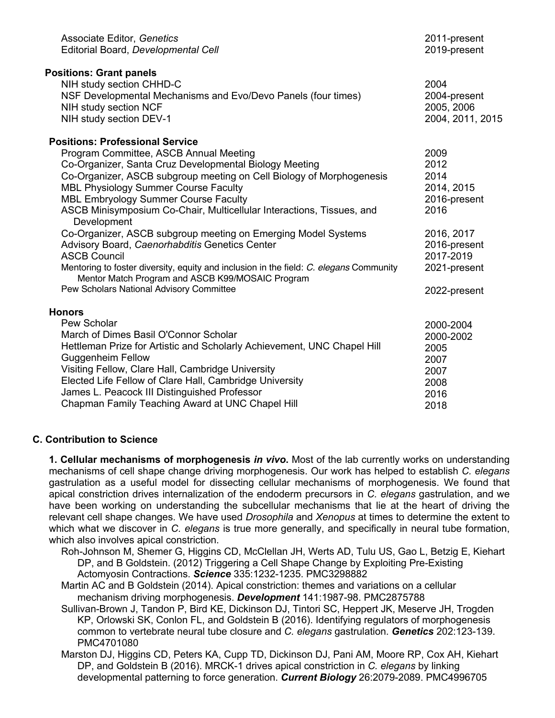| Associate Editor, Genetics<br>Editorial Board, Developmental Cell                                                                          | 2011-present<br>2019-present |
|--------------------------------------------------------------------------------------------------------------------------------------------|------------------------------|
| <b>Positions: Grant panels</b>                                                                                                             |                              |
| NIH study section CHHD-C                                                                                                                   | 2004                         |
| NSF Developmental Mechanisms and Evo/Devo Panels (four times)                                                                              | 2004-present                 |
| NIH study section NCF                                                                                                                      | 2005, 2006                   |
| NIH study section DEV-1                                                                                                                    | 2004, 2011, 2015             |
| <b>Positions: Professional Service</b>                                                                                                     |                              |
| Program Committee, ASCB Annual Meeting                                                                                                     | 2009                         |
| Co-Organizer, Santa Cruz Developmental Biology Meeting                                                                                     | 2012                         |
| Co-Organizer, ASCB subgroup meeting on Cell Biology of Morphogenesis                                                                       | 2014                         |
| <b>MBL Physiology Summer Course Faculty</b>                                                                                                | 2014, 2015                   |
| <b>MBL Embryology Summer Course Faculty</b>                                                                                                | 2016-present                 |
| ASCB Minisymposium Co-Chair, Multicellular Interactions, Tissues, and<br>Development                                                       | 2016                         |
| Co-Organizer, ASCB subgroup meeting on Emerging Model Systems                                                                              | 2016, 2017                   |
| Advisory Board, Caenorhabditis Genetics Center                                                                                             | 2016-present                 |
| <b>ASCB Council</b>                                                                                                                        | 2017-2019                    |
| Mentoring to foster diversity, equity and inclusion in the field: C. elegans Community<br>Mentor Match Program and ASCB K99/MOSAIC Program | 2021-present                 |
| Pew Scholars National Advisory Committee                                                                                                   | 2022-present                 |
| <b>Honors</b>                                                                                                                              |                              |
| Pew Scholar                                                                                                                                | 2000-2004                    |
| March of Dimes Basil O'Connor Scholar                                                                                                      | 2000-2002                    |
| Hettleman Prize for Artistic and Scholarly Achievement, UNC Chapel Hill                                                                    | 2005                         |
| <b>Guggenheim Fellow</b>                                                                                                                   | 2007                         |
| Visiting Fellow, Clare Hall, Cambridge University                                                                                          | 2007                         |
| Elected Life Fellow of Clare Hall, Cambridge University                                                                                    | 2008                         |
| James L. Peacock III Distinguished Professor                                                                                               | 2016                         |
| Chapman Family Teaching Award at UNC Chapel Hill                                                                                           | 2018                         |

## **C. Contribution to Science**

**1. Cellular mechanisms of morphogenesis** *in vivo***.** Most of the lab currently works on understanding mechanisms of cell shape change driving morphogenesis. Our work has helped to establish *C. elegans* gastrulation as a useful model for dissecting cellular mechanisms of morphogenesis. We found that apical constriction drives internalization of the endoderm precursors in *C. elegans* gastrulation, and we have been working on understanding the subcellular mechanisms that lie at the heart of driving the relevant cell shape changes. We have used *Drosophila* and *Xenopus* at times to determine the extent to which what we discover in *C. elegans* is true more generally, and specifically in neural tube formation, which also involves apical constriction.

Roh-Johnson M, Shemer G, Higgins CD, McClellan JH, Werts AD, Tulu US, Gao L, Betzig E, Kiehart DP, and B Goldstein. (2012) Triggering a Cell Shape Change by Exploiting Pre-Existing Actomyosin Contractions. *Science* 335:1232-1235. PMC3298882

Martin AC and B Goldstein (2014). Apical constriction: themes and variations on a cellular mechanism driving morphogenesis. *Development* 141:1987-98. PMC2875788

- Sullivan-Brown J, Tandon P, Bird KE, Dickinson DJ, Tintori SC, Heppert JK, Meserve JH, Trogden KP, Orlowski SK, Conlon FL, and Goldstein B (2016). Identifying regulators of morphogenesis common to vertebrate neural tube closure and *C. elegans* gastrulation. *Genetics* 202:123-139. PMC4701080
- Marston DJ, Higgins CD, Peters KA, Cupp TD, Dickinson DJ, Pani AM, Moore RP, Cox AH, Kiehart DP, and Goldstein B (2016). MRCK-1 drives apical constriction in *C. elegans* by linking developmental patterning to force generation. *Current Biology* 26:2079-2089. PMC4996705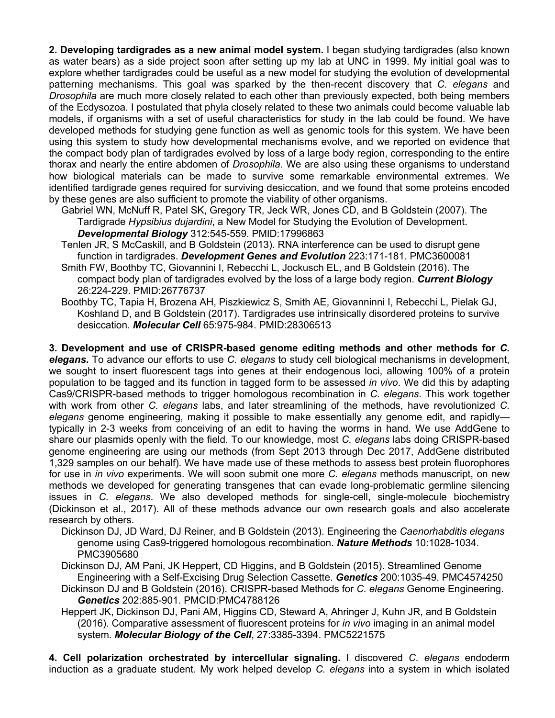**2. Developing tardigrades as a new animal model system.** I began studying tardigrades (also known as water bears) as a side project soon after setting up my lab at UNC in 1999. My initial goal was to explore whether tardigrades could be useful as a new model for studying the evolution of developmental patterning mechanisms. This goal was sparked by the then-recent discovery that *C. elegans* and *Drosophila* are much more closely related to each other than previously expected, both being members of the Ecdysozoa. I postulated that phyla closely related to these two animals could become valuable lab models, if organisms with a set of useful characteristics for study in the lab could be found. We have developed methods for studying gene function as well as genomic tools for this system. We have been using this system to study how developmental mechanisms evolve, and we reported on evidence that the compact body plan of tardigrades evolved by loss of a large body region, corresponding to the entire thorax and nearly the entire abdomen of *Drosophila*. We are also using these organisms to understand how biological materials can be made to survive some remarkable environmental extremes. We identified tardigrade genes required for surviving desiccation, and we found that some proteins encoded by these genes are also sufficient to promote the viability of other organisms.

- Gabriel WN, McNuff R, Patel SK, Gregory TR, Jeck WR, Jones CD, and B Goldstein (2007). The Tardigrade *Hypsibius dujardini*, a New Model for Studying the Evolution of Development. *Developmental Biology* 312:545-559. PMID:17996863
- Tenlen JR, S McCaskill, and B Goldstein (2013). RNA interference can be used to disrupt gene function in tardigrades. *Development Genes and Evolution* 223:171-181. PMC3600081
- Smith FW, Boothby TC, Giovannini I, Rebecchi L, Jockusch EL, and B Goldstein (2016). The compact body plan of tardigrades evolved by the loss of a large body region. *Current Biology* 26:224-229. PMID:26776737
- Boothby TC, Tapia H, Brozena AH, Piszkiewicz S, Smith AE, Giovanninni I, Rebecchi L, Pielak GJ, Koshland D, and B Goldstein (2017). Tardigrades use intrinsically disordered proteins to survive desiccation. *Molecular Cell* 65:975-984. PMID:28306513

**3. Development and use of CRISPR-based genome editing methods and other methods for** *C. elegans***.** To advance our efforts to use *C. elegans* to study cell biological mechanisms in development, we sought to insert fluorescent tags into genes at their endogenous loci, allowing 100% of a protein population to be tagged and its function in tagged form to be assessed *in vivo*. We did this by adapting Cas9/CRISPR-based methods to trigger homologous recombination in *C. elegans*. This work together with work from other *C. elegans* labs, and later streamlining of the methods, have revolutionized *C. elegans* genome engineering, making it possible to make essentially any genome edit, and rapidly typically in 2-3 weeks from conceiving of an edit to having the worms in hand. We use AddGene to share our plasmids openly with the field. To our knowledge, most *C. elegans* labs doing CRISPR-based genome engineering are using our methods (from Sept 2013 through Dec 2017, AddGene distributed 1,329 samples on our behalf). We have made use of these methods to assess best protein fluorophores for use in *in vivo* experiments. We will soon submit one more *C. elegans* methods manuscript, on new methods we developed for generating transgenes that can evade long-problematic germline silencing issues in *C. elegans*. We also developed methods for single-cell, single-molecule biochemistry (Dickinson et al., 2017). All of these methods advance our own research goals and also accelerate research by others.

- Dickinson DJ, JD Ward, DJ Reiner, and B Goldstein (2013). Engineering the *Caenorhabditis elegans* genome using Cas9-triggered homologous recombination. *Nature Methods* 10:1028-1034. PMC3905680
- Dickinson DJ, AM Pani, JK Heppert, CD Higgins, and B Goldstein (2015). Streamlined Genome Engineering with a Self-Excising Drug Selection Cassette. *Genetics* 200:1035-49. PMC4574250
- Dickinson DJ and B Goldstein (2016). CRISPR-based Methods for *C. elegans* Genome Engineering. *Genetics* 202:885-901. PMCID:PMC4788126
- Heppert JK, Dickinson DJ, Pani AM, Higgins CD, Steward A, Ahringer J, Kuhn JR, and B Goldstein (2016). Comparative assessment of fluorescent proteins for *in vivo* imaging in an animal model system. *Molecular Biology of the Cell*, 27:3385-3394. PMC5221575

**4. Cell polarization orchestrated by intercellular signaling.** I discovered *C. elegans* endoderm induction as a graduate student. My work helped develop *C. elegans* into a system in which isolated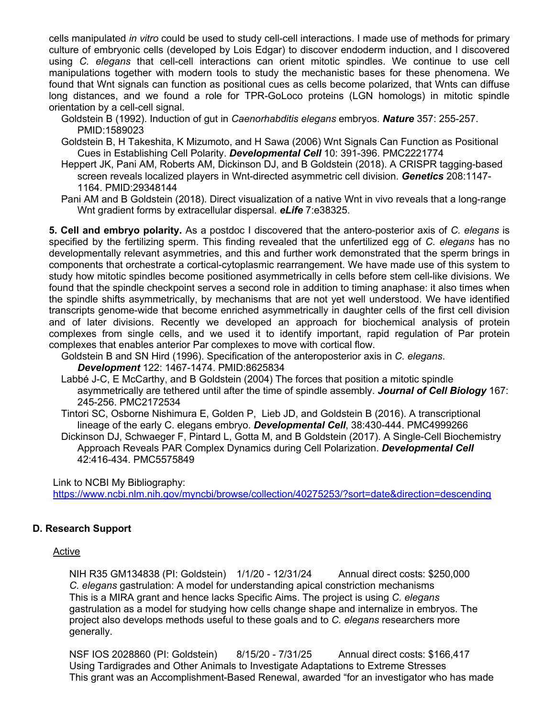cells manipulated *in vitro* could be used to study cell-cell interactions. I made use of methods for primary culture of embryonic cells (developed by Lois Edgar) to discover endoderm induction, and I discovered using *C. elegans* that cell-cell interactions can orient mitotic spindles. We continue to use cell manipulations together with modern tools to study the mechanistic bases for these phenomena. We found that Wnt signals can function as positional cues as cells become polarized, that Wnts can diffuse long distances, and we found a role for TPR-GoLoco proteins (LGN homologs) in mitotic spindle orientation by a cell-cell signal.

Goldstein B (1992). Induction of gut in *Caenorhabditis elegans* embryos. *Nature* 357: 255-257. PMID:1589023

- Goldstein B, H Takeshita, K Mizumoto, and H Sawa (2006) Wnt Signals Can Function as Positional Cues in Establishing Cell Polarity. *Developmental Cell* 10: 391-396. PMC2221774
- Heppert JK, Pani AM, Roberts AM, Dickinson DJ, and B Goldstein (2018). A CRISPR tagging-based screen reveals localized players in Wnt-directed asymmetric cell division. *Genetics* 208:1147- 1164. PMID:29348144
- Pani AM and B Goldstein (2018). Direct visualization of a native Wnt in vivo reveals that a long-range Wnt gradient forms by extracellular dispersal. *eLife* 7:e38325.

**5. Cell and embryo polarity.** As a postdoc I discovered that the antero-posterior axis of *C. elegans* is specified by the fertilizing sperm. This finding revealed that the unfertilized egg of *C. elegans* has no developmentally relevant asymmetries, and this and further work demonstrated that the sperm brings in components that orchestrate a cortical-cytoplasmic rearrangement. We have made use of this system to study how mitotic spindles become positioned asymmetrically in cells before stem cell-like divisions. We found that the spindle checkpoint serves a second role in addition to timing anaphase: it also times when the spindle shifts asymmetrically, by mechanisms that are not yet well understood. We have identified transcripts genome-wide that become enriched asymmetrically in daughter cells of the first cell division and of later divisions. Recently we developed an approach for biochemical analysis of protein complexes from single cells, and we used it to identify important, rapid regulation of Par protein complexes that enables anterior Par complexes to move with cortical flow.

Goldstein B and SN Hird (1996). Specification of the anteroposterior axis in *C. elegans*.

# *Development* 122: 1467-1474. PMID:8625834

Labbé J-C, E McCarthy, and B Goldstein (2004) The forces that position a mitotic spindle asymmetrically are tethered until after the time of spindle assembly. *Journal of Cell Biology* 167: 245-256. PMC2172534

Tintori SC, Osborne Nishimura E, Golden P, Lieb JD, and Goldstein B (2016). A transcriptional lineage of the early C. elegans embryo. *Developmental Cell*, 38:430-444. PMC4999266

Dickinson DJ, Schwaeger F, Pintard L, Gotta M, and B Goldstein (2017). A Single-Cell Biochemistry Approach Reveals PAR Complex Dynamics during Cell Polarization. *Developmental Cell* 42:416-434. PMC5575849

Link to NCBI My Bibliography:

https://www.ncbi.nlm.nih.gov/myncbi/browse/collection/40275253/?sort=date&direction=descending

## **D. Research Support**

## **Active**

NIH R35 GM134838 (PI: Goldstein) 1/1/20 - 12/31/24 Annual direct costs: \$250,000 *C. elegans* gastrulation: A model for understanding apical constriction mechanisms This is a MIRA grant and hence lacks Specific Aims. The project is using *C. elegans* gastrulation as a model for studying how cells change shape and internalize in embryos. The project also develops methods useful to these goals and to *C. elegans* researchers more generally.

NSF IOS 2028860 (PI: Goldstein) 8/15/20 - 7/31/25 Annual direct costs: \$166,417 Using Tardigrades and Other Animals to Investigate Adaptations to Extreme Stresses This grant was an Accomplishment-Based Renewal, awarded "for an investigator who has made